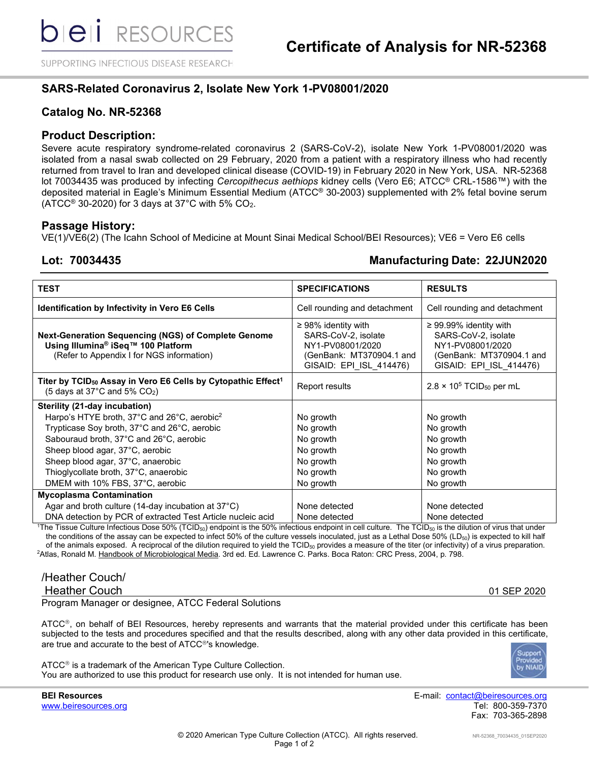SUPPORTING INFECTIOUS DISEASE RESEARCH

# **SARS-Related Coronavirus 2, Isolate New York 1-PV08001/2020**

# **Catalog No. NR-52368**

## **Product Description:**

Severe acute respiratory syndrome-related coronavirus 2 (SARS-CoV-2), isolate New York 1-PV08001/2020 was isolated from a nasal swab collected on 29 February, 2020 from a patient with a respiratory illness who had recently returned from travel to Iran and developed clinical disease (COVID-19) in February 2020 in New York, USA. NR-52368 lot 70034435 was produced by infecting *Cercopithecus aethiops* kidney cells (Vero E6; ATCC® CRL-1586™) with the deposited material in Eagle's Minimum Essential Medium (ATCC® 30-2003) supplemented with 2% fetal bovine serum (ATCC® 30-2020) for 3 days at 37°C with 5%  $CO<sub>2</sub>$ .

### **Passage History:**

VE(1)/VE6(2) (The Icahn School of Medicine at Mount Sinai Medical School/BEI Resources); VE6 = Vero E6 cells

# **Lot: 70034435 Manufacturing Date: 22JUN2020**

| <b>TEST</b>                                                                                                                                                   | <b>SPECIFICATIONS</b>                                                                                                      | <b>RESULTS</b>                                                                                                                |  |  |  |  |  |
|---------------------------------------------------------------------------------------------------------------------------------------------------------------|----------------------------------------------------------------------------------------------------------------------------|-------------------------------------------------------------------------------------------------------------------------------|--|--|--|--|--|
| <b>Identification by Infectivity in Vero E6 Cells</b>                                                                                                         | Cell rounding and detachment                                                                                               | Cell rounding and detachment                                                                                                  |  |  |  |  |  |
| <b>Next-Generation Sequencing (NGS) of Complete Genome</b><br>Using Illumina® iSeq™ 100 Platform<br>(Refer to Appendix I for NGS information)                 | $\geq$ 98% identity with<br>SARS-CoV-2, isolate<br>NY1-PV08001/2020<br>(GenBank: MT370904.1 and<br>GISAID: EPI ISL 414476) | $\geq$ 99.99% identity with<br>SARS-CoV-2, isolate<br>NY1-PV08001/2020<br>(GenBank: MT370904.1 and<br>GISAID: EPI_ISL_414476) |  |  |  |  |  |
| Titer by TCID <sub>50</sub> Assay in Vero E6 Cells by Cytopathic Effect <sup>1</sup><br>(5 days at 37 $^{\circ}$ C and 5% CO <sub>2</sub> )                   | Report results                                                                                                             | $2.8 \times 10^5$ TCID <sub>50</sub> per mL                                                                                   |  |  |  |  |  |
| Sterility (21-day incubation)                                                                                                                                 |                                                                                                                            |                                                                                                                               |  |  |  |  |  |
| Harpo's HTYE broth, 37°C and 26°C, aerobic <sup>2</sup>                                                                                                       | No growth                                                                                                                  | No growth                                                                                                                     |  |  |  |  |  |
| Trypticase Soy broth, 37°C and 26°C, aerobic                                                                                                                  | No growth                                                                                                                  | No growth                                                                                                                     |  |  |  |  |  |
| Sabouraud broth, 37°C and 26°C, aerobic                                                                                                                       | No growth                                                                                                                  | No growth                                                                                                                     |  |  |  |  |  |
| Sheep blood agar, 37°C, aerobic                                                                                                                               | No growth                                                                                                                  | No growth                                                                                                                     |  |  |  |  |  |
| Sheep blood agar, 37°C, anaerobic                                                                                                                             | No growth                                                                                                                  | No growth                                                                                                                     |  |  |  |  |  |
| Thioglycollate broth, 37°C, anaerobic                                                                                                                         | No growth                                                                                                                  | No growth                                                                                                                     |  |  |  |  |  |
| DMEM with 10% FBS, 37°C, aerobic                                                                                                                              | No growth                                                                                                                  | No growth                                                                                                                     |  |  |  |  |  |
| <b>Mycoplasma Contamination</b>                                                                                                                               |                                                                                                                            |                                                                                                                               |  |  |  |  |  |
| Agar and broth culture (14-day incubation at $37^{\circ}$ C)                                                                                                  | None detected                                                                                                              | None detected                                                                                                                 |  |  |  |  |  |
| DNA detection by PCR of extracted Test Article nucleic acid                                                                                                   | None detected                                                                                                              | None detected                                                                                                                 |  |  |  |  |  |
| $1\%$ The Tissue Culture Infectious Dose 50% (TCID-s) endpoint is the 50% infectious endpoint in cell culture. The TCID-s is the dilution of virus that under |                                                                                                                            |                                                                                                                               |  |  |  |  |  |

The Tissue Culture Infectious Dose 50% (TCID<sub>50</sub>) endpoint is the 50% infectious endpoint in cell culture. The TCID<sub>50</sub> is the dilution of virus that under the conditions of the assay can be expected to infect 50% of the culture vessels inoculated, just as a Lethal Dose 50% (LD<sub>50</sub>) is expected to kill half of the animals exposed. A reciprocal of the dilution required to yield the TCID<sub>50</sub> provides a measure of the titer (or infectivity) of a virus preparation. <sup>2</sup>Atlas, Ronald M. <u>Handbook of Microbiological Media</u>. 3rd ed. Ed. Lawrence C. Parks. Boca Raton: CRC Press, 2004, p. 798.

/Heather Couch/

Heather Couch **Department of the Couch 1999** Separation of the Couch 1999 SEP 2020

Program Manager or designee, ATCC Federal Solutions

ATCC®, on behalf of BEI Resources, hereby represents and warrants that the material provided under this certificate has been subjected to the tests and procedures specified and that the results described, along with any other data provided in this certificate, are true and accurate to the best of ATCC®'s knowledge.

 $ATCC<sup>®</sup>$  is a trademark of the American Type Culture Collection. You are authorized to use this product for research use only. It is not intended for human use.



**BEI Resources** E-mail: contact@beiresources.org www.beiresources.org Tel: 800-359-7370 Fax: 703-365-2898